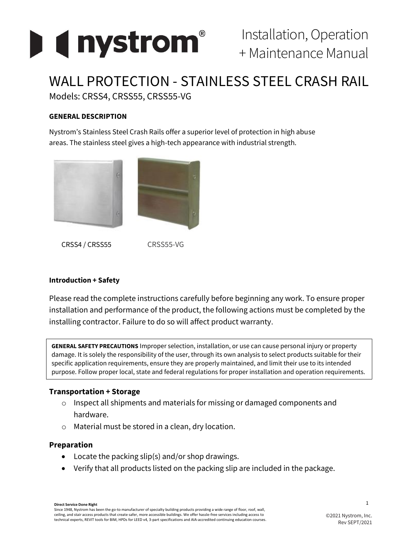

# WALL PROTECTION - STAINLESS STEEL CRASH RAIL Models: CRSS4, CRSS55, CRSS55-VG

### **GENERAL DESCRIPTION**

Nystrom's Stainless Steel Crash Rails offer a superior level of protection in high abuse areas. The stainless steel gives a high-tech appearance with industrial strength.



CRSS4 / CRSS55 CRSS55-VG

#### **Introduction + Safety**

Please read the complete instructions carefully before beginning any work. To ensure proper installation and performance of the product, the following actions must be completed by the installing contractor. Failure to do so will affect product warranty.

**GENERAL SAFETY PRECAUTIONS** Improper selection, installation, or use can cause personal injury or property damage. It is solely the responsibility of the user, through its own analysis to select products suitable for their specific application requirements, ensure they are properly maintained, and limit their use to its intended purpose. Follow proper local, state and federal regulations for proper installation and operation requirements.

## **Transportation + Storage**

- o Inspect all shipments and materials for missing or damaged components and hardware.
- o Material must be stored in a clean, dry location.

#### **Preparation**

- Locate the packing slip(s) and/or shop drawings.
- Verify that all products listed on the packing slip are included in the package.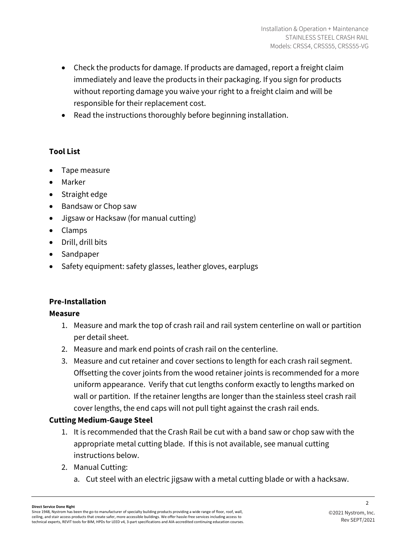- Check the products for damage. If products are damaged, report a freight claim immediately and leave the products in their packaging. If you sign for products without reporting damage you waive your right to a freight claim and will be responsible for their replacement cost.
- Read the instructions thoroughly before beginning installation.

# **Tool List**

- Tape measure
- Marker
- Straight edge
- Bandsaw or Chop saw
- Jigsaw or Hacksaw (for manual cutting)
- Clamps
- Drill, drill bits
- Sandpaper
- Safety equipment: safety glasses, leather gloves, earplugs

# **Pre-Installation**

# **Measure**

- 1. Measure and mark the top of crash rail and rail system centerline on wall or partition per detail sheet.
- 2. Measure and mark end points of crash rail on the centerline.
- 3. Measure and cut retainer and cover sections to length for each crash rail segment. Offsetting the cover joints from the wood retainer joints is recommended for a more uniform appearance. Verify that cut lengths conform exactly to lengths marked on wall or partition. If the retainer lengths are longer than the stainless steel crash rail cover lengths, the end caps will not pull tight against the crash rail ends.

# **Cutting Medium-Gauge Steel**

- 1. It is recommended that the Crash Rail be cut with a band saw or chop saw with the appropriate metal cutting blade. If this is not available, see manual cutting instructions below.
- 2. Manual Cutting:
	- a. Cut steel with an electric jigsaw with a metal cutting blade or with a hacksaw.

#### **Direct Service Done Right**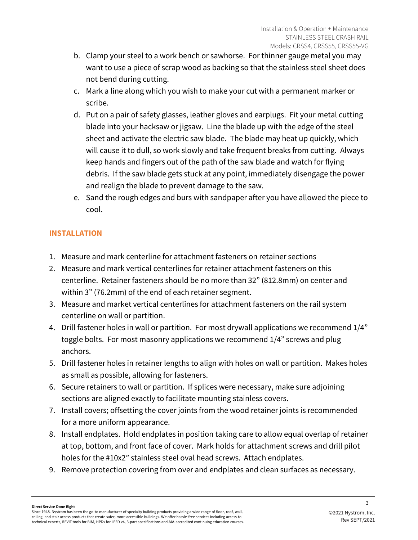- b. Clamp your steel to a work bench or sawhorse. For thinner gauge metal you may want to use a piece of scrap wood as backing so that the stainless steel sheet does not bend during cutting.
- c. Mark a line along which you wish to make your cut with a permanent marker or scribe.
- d. Put on a pair of safety glasses, leather gloves and earplugs. Fit your metal cutting blade into your hacksaw or jigsaw. Line the blade up with the edge of the steel sheet and activate the electric saw blade. The blade may heat up quickly, which will cause it to dull, so work slowly and take frequent breaks from cutting. Always keep hands and fingers out of the path of the saw blade and watch for flying debris. If the saw blade gets stuck at any point, immediately disengage the power and realign the blade to prevent damage to the saw.
- e. Sand the rough edges and burs with sandpaper after you have allowed the piece to cool.

# **INSTALLATION**

- 1. Measure and mark centerline for attachment fasteners on retainer sections
- 2. Measure and mark vertical centerlines for retainer attachment fasteners on this centerline. Retainer fasteners should be no more than 32" (812.8mm) on center and within 3" (76.2mm) of the end of each retainer segment.
- 3. Measure and market vertical centerlines for attachment fasteners on the rail system centerline on wall or partition.
- 4. Drill fastener holes in wall or partition. For most drywall applications we recommend 1/4" toggle bolts. For most masonry applications we recommend 1/4" screws and plug anchors.
- 5. Drill fastener holes in retainer lengths to align with holes on wall or partition. Makes holes as small as possible, allowing for fasteners.
- 6. Secure retainers to wall or partition. If splices were necessary, make sure adjoining sections are aligned exactly to facilitate mounting stainless covers.
- 7. Install covers; offsetting the cover joints from the wood retainer joints is recommended for a more uniform appearance.
- 8. Install endplates. Hold endplates in position taking care to allow equal overlap of retainer at top, bottom, and front face of cover. Mark holds for attachment screws and drill pilot holes for the #10x2" stainless steel oval head screws. Attach endplates.
- 9. Remove protection covering from over and endplates and clean surfaces as necessary.

#### **Direct Service Done Right**